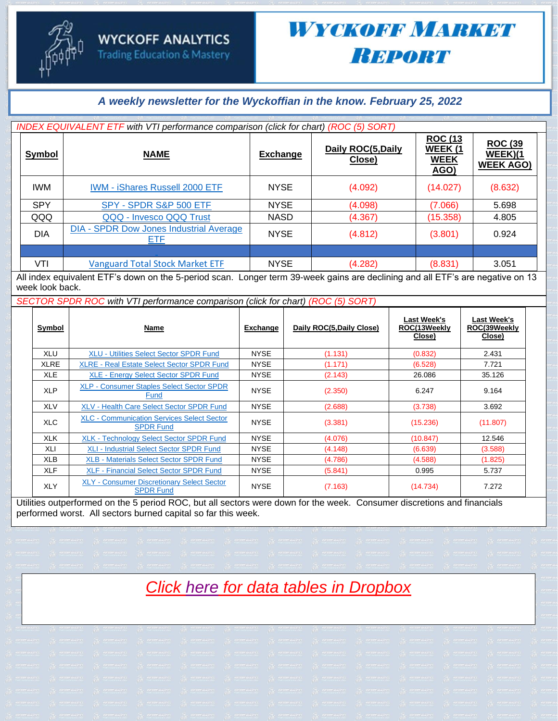#### *A weekly newsletter for the Wyckoffian in the know. February 25, 2022*

|               | INDEX EQUIVALENT ETF with VTI performance comparison (click for chart) (ROC (5) SORT)                                                                                                                                                 |                 |                              |                                                                 |                                               |
|---------------|---------------------------------------------------------------------------------------------------------------------------------------------------------------------------------------------------------------------------------------|-----------------|------------------------------|-----------------------------------------------------------------|-----------------------------------------------|
| <b>Symbol</b> | <b>NAME</b>                                                                                                                                                                                                                           | <b>Exchange</b> | Daily ROC(5, Daily<br>Close) | <b>ROC (13</b><br><b>WEEK (1)</b><br><b>WEEK</b><br><b>AGO)</b> | <b>ROC (39</b><br>WEEK)(1<br><b>WEEK AGO)</b> |
| <b>IWM</b>    | <b>IWM - iShares Russell 2000 ETF</b>                                                                                                                                                                                                 | <b>NYSE</b>     | (4.092)                      | (14.027)                                                        | (8.632)                                       |
| <b>SPY</b>    | SPY - SPDR S&P 500 ETF                                                                                                                                                                                                                | <b>NYSE</b>     | (4.098)                      | (7.066)                                                         | 5.698                                         |
| QQQ           | QQQ - Invesco QQQ Trust                                                                                                                                                                                                               | <b>NASD</b>     | (4.367)                      | (15.358)                                                        | 4.805                                         |
| <b>DIA</b>    | <b>DIA - SPDR Dow Jones Industrial Average</b><br>ETF                                                                                                                                                                                 | <b>NYSE</b>     | (4.812)                      | (3.801)                                                         | 0.924                                         |
|               |                                                                                                                                                                                                                                       |                 |                              |                                                                 |                                               |
| VTI           | <b>Vanguard Total Stock Market ETF</b><br>All to the control of ETERS design and Englisher and the second of All and the second design and HETERS as second as a 40 million of the second and the second and the second and all and a | <b>NYSE</b>     | (4.282)                      | (8.831)                                                         | 3.051                                         |

All index equivalent ETF's down on the 5-period scan. Longer term 39-week gains are declining and all ETF's are negative on 13 week look back.

*SECTOR SPDR ROC with VTI performance comparison (click for chart) (ROC (5) SORT)*

| Symbol      | Name                                                                  | Exchange    | Daily ROC(5, Daily Close) | Last Week's<br>ROC(13Weekly<br><u>Close)</u> | Last Week's<br>ROC(39Weekly<br>Close) |
|-------------|-----------------------------------------------------------------------|-------------|---------------------------|----------------------------------------------|---------------------------------------|
| XLU         | <b>XLU - Utilities Select Sector SPDR Fund</b>                        | <b>NYSE</b> | (1.131)                   | (0.832)                                      | 2.431                                 |
| <b>XLRE</b> | <b>XLRE - Real Estate Select Sector SPDR Fund</b>                     | <b>NYSE</b> | (1.171)                   | (6.528)                                      | 7.721                                 |
| <b>XLE</b>  | <b>XLE - Energy Select Sector SPDR Fund</b>                           | <b>NYSE</b> | (2.143)                   | 26.086                                       | 35.126                                |
| <b>XLP</b>  | <b>XLP - Consumer Staples Select Sector SPDR</b><br>Fund              | <b>NYSE</b> | (2.350)                   | 6.247                                        | 9.164                                 |
| <b>XLV</b>  | <b>XLV - Health Care Select Sector SPDR Fund</b>                      | <b>NYSE</b> | (2.688)                   | (3.738)                                      | 3.692                                 |
| <b>XLC</b>  | <b>XLC - Communication Services Select Sector</b><br><b>SPDR Fund</b> | <b>NYSE</b> | (3.381)                   | (15.236)                                     | (11.807)                              |
| <b>XLK</b>  | <b>XLK - Technology Select Sector SPDR Fund</b>                       | <b>NYSE</b> | (4.076)                   | (10.847)                                     | 12.546                                |
| XLI         | <b>XLI - Industrial Select Sector SPDR Fund</b>                       | <b>NYSE</b> | (4.148)                   | (6.639)                                      | (3.588)                               |
| XLB         | <b>XLB - Materials Select Sector SPDR Fund</b>                        | <b>NYSE</b> | (4.786)                   | (4.588)                                      | (1.825)                               |
| <b>XLF</b>  | <b>XLF - Financial Select Sector SPDR Fund</b>                        | <b>NYSE</b> | (5.841)                   | 0.995                                        | 5.737                                 |
| <b>XLY</b>  | <b>XLY - Consumer Discretionary Select Sector</b><br><b>SPDR Fund</b> | <b>NYSE</b> | (7.163)                   | (14.734)                                     | 7.272                                 |

Utilities outperformed on the 5 period ROC, but all sectors were down for the week. Consumer discretions and financials performed worst. All sectors burned capital so far this week.

### *Click here for data tables in Dropbox*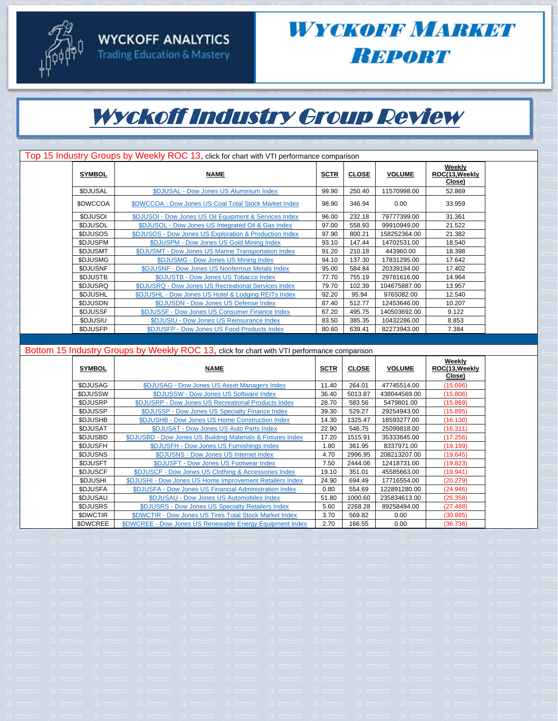#### **WYCKOFF ANALYTICS Trading Education & Mastery**



### WYCKOFF MARKET **Вировт**

## Wyckoff Industry Group Review

|                 | Top 15 Industry Groups by Weekly ROC 13, click for chart with VTI performance comparison |             |              |               |                                    |  |
|-----------------|------------------------------------------------------------------------------------------|-------------|--------------|---------------|------------------------------------|--|
| <b>SYMBOL</b>   | <b>NAME</b>                                                                              | <b>SCTR</b> | <b>CLOSE</b> | <b>VOLUME</b> | Weekly<br>ROC(13, Weekly<br>Close) |  |
| <b>\$DJUSAL</b> | \$DJUSAL - Dow Jones US Aluminium Index                                                  | 99.90       | 250.40       | 11570998.00   | 52.869                             |  |
| <b>SDWCCOA</b>  | \$DWCCOA - Dow Jones US Coal Total Stock Market Index                                    | 98.90       | 346.94       | 0.00          | 33.959                             |  |
| <b>SDJUSOI</b>  | \$DJUSOI - Dow Jones US Oil Equipment & Services Index                                   | 96.00       | 232.18       | 79777399.00   | 31.361                             |  |
| <b>SDJUSOL</b>  | \$DJUSOL - Dow Jones US Integrated Oil & Gas Index                                       | 97.00       | 558.93       | 99910949.00   | 21.522                             |  |
| <b>SDJUSOS</b>  | \$DJUSOS - Dow Jones US Exploration & Production Index                                   | 97.90       | 800.21       | 158252364.00  | 21.382                             |  |
| <b>\$DJUSPM</b> | \$DJUSPM - Dow Jones US Gold Mining Index                                                | 93.10       | 147.44       | 14702531.00   | 18.540                             |  |
| <b>\$DJUSMT</b> | \$DJUSMT - Dow Jones US Marine Transportation Index                                      | 91.20       | 210.18       | 443960.00     | 18.398                             |  |
| <b>\$DJUSMG</b> | \$DJUSMG - Dow Jones US Mining Index                                                     | 94.10       | 137.30       | 17831295.00   | 17.642                             |  |
| <b>SDJUSNF</b>  | \$DJUSNF - Dow Jones US Nonferrous Metals Index                                          | 95.00       | 584.84       | 20339194.00   | 17.402                             |  |
| <b>SDJUSTB</b>  | \$DJUSTB - Dow Jones US Tobacco Index                                                    | 77.70       | 755.19       | 29781616.00   | 14.964                             |  |
| <b>\$DJUSRQ</b> | \$DJUSRQ - Dow Jones US Recreational Services Index                                      | 79.70       | 102.39       | 104675887.00  | 13.957                             |  |
| <b>SDJUSHL</b>  | \$DJUSHL - Dow Jones US Hotel & Lodging REITs Index                                      | 92.20       | 95.94        | 9765082.00    | 12.540                             |  |
| \$DJUSDN        | \$DJUSDN - Dow Jones US Defense Index                                                    | 87.40       | 512.77       | 12453646.00   | 10.207                             |  |
| <b>SDJUSSF</b>  | \$DJUSSF - Dow Jones US Consumer Finance Index                                           | 67.20       | 495.75       | 140503692.00  | 9.122                              |  |
| \$DJUSIU        | \$DJUSIU - Dow Jones US Reinsurance Index                                                | 83.50       | 385.35       | 10432286.00   | 8.853                              |  |
| <b>SDJUSFP</b>  | \$DJUSFP - Dow Jones US Food Products Index                                              | 80.60       | 639.41       | 82273943.00   | 7.384                              |  |

#### Bottom 15 Industry Groups by Weekly ROC 13, click for chart with VTI performance comparison

| <b>SYMBOL</b>   | <b>NAME</b>                                                 | <b>SCTR</b> | <b>CLOSE</b> | <b>VOLUME</b> | Weekly<br>ROC(13, Weekly<br>Close) |
|-----------------|-------------------------------------------------------------|-------------|--------------|---------------|------------------------------------|
| <b>SDJUSAG</b>  | \$DJUSAG - Dow Jones US Asset Managers Index                | 11.40       | 264.01       | 47745514.00   | (15.096)                           |
| <b>SDJUSSW</b>  | \$DJUSSW - Dow Jones US Software Index                      | 36.40       | 5013.87      | 438044569.00  | (15.806)                           |
| <b>SDJUSRP</b>  | \$DJUSRP - Dow Jones US Recreational Products Index         | 28.70       | 583.56       | 5479801.00    | (15.869)                           |
| <b>\$DJUSSP</b> | \$DJUSSP - Dow Jones US Specialty Finance Index             | 39.30       | 529.27       | 29254943.00   | (15.895)                           |
| <b>SDJUSHB</b>  | \$DJUSHB - Dow Jones US Home Construction Index             | 14.30       | 1325.47      | 18593277.00   | (16.130)                           |
| <b>SDJUSAT</b>  | \$DJUSAT - Dow Jones US Auto Parts Index                    | 22.90       | 546.75       | 25099818.00   | (16.311)                           |
| <b>SDJUSBD</b>  | \$DJUSBD - Dow Jones US Building Materials & Fixtures Index | 17.20       | 1515.91      | 35333645.00   | (17.256)                           |
| <b>SDJUSFH</b>  | \$DJUSFH - Dow Jones US Furnishings Index                   | 1.80        | 361.95       | 8337971.00    | (19.199)                           |
| <b>SDJUSNS</b>  | \$DJUSNS - Dow Jones US Internet Index                      | 4.70        | 2996.95      | 208213207.00  | (19.645)                           |
| <b>SDJUSFT</b>  | \$DJUSFT - Dow Jones US Footwear Index                      | 7.50        | 2444.06      | 12418731.00   | (19.823)                           |
| <b>SDJUSCF</b>  | \$DJUSCF - Dow Jones US Clothing & Accessories Index        | 19.10       | 351.01       | 45585663.00   | (19.941)                           |
| <b>SDJUSHI</b>  | \$DJUSHI - Dow Jones US Home Improvement Retailers Index    | 24.90       | 694.49       | 17716554.00   | (20.279)                           |
| <b>SDJUSFA</b>  | \$DJUSFA - Dow Jones US Financial Administration Index      | 0.80        | 554.69       | 122891280.00  | (24.946)                           |
| <b>SDJUSAU</b>  | \$DJUSAU - Dow Jones US Automobiles Index                   | 51.80       | 1000.60      | 235834613.00  | (25.358)                           |
| <b>SDJUSRS</b>  | \$DJUSRS - Dow Jones US Specialty Retailers Index           | 5.60        | 2268.28      | 89258494.00   | (27.488)                           |
| \$DWCTIR        | \$DWCTIR - Dow Jones US Tires Total Stock Market Index      | 3.70        | 569.82       | 0.00          | (30.985)                           |
| <b>SDWCREE</b>  | \$DWCREE - Dow Jones US Renewable Energy Equipment Index    | 2.70        | 166.55       | 0.00          | (36.736)                           |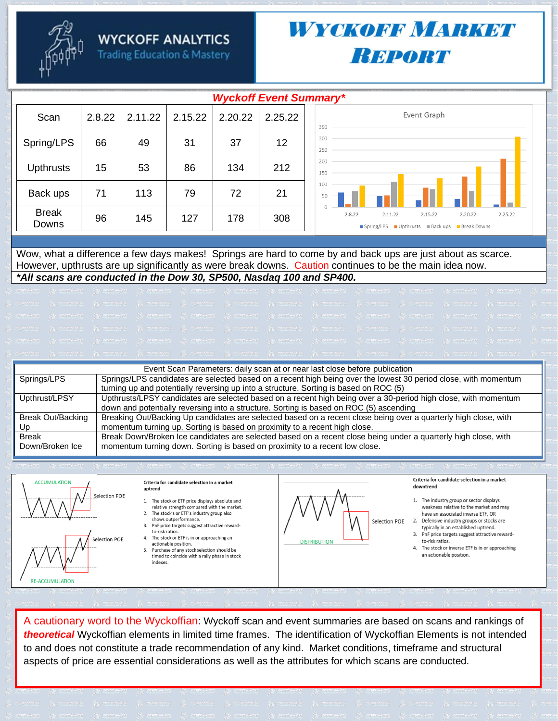**WYCKOFF ANALYTICS** 



**Trading Education & Mastery** 

### *WYOKOBB MARKEY* **REPORT**

| <b>Wyckoff Event Summary*</b> |        |         |         |         |         |                                                                                                 |  |  |  |  |
|-------------------------------|--------|---------|---------|---------|---------|-------------------------------------------------------------------------------------------------|--|--|--|--|
| Scan                          | 2.8.22 | 2.11.22 | 2.15.22 | 2.20.22 | 2.25.22 | Event Graph<br>350                                                                              |  |  |  |  |
| Spring/LPS                    | 66     | 49      | 31      | 37      | 12      | 300<br>250                                                                                      |  |  |  |  |
| <b>Upthrusts</b>              | 15     | 53      | 86      | 134     | 212     | 200<br>150                                                                                      |  |  |  |  |
| Back ups                      | 71     | 113     | 79      | 72      | 21      | 100<br>$\overline{\phantom{a}}$<br>50<br>$\sim$                                                 |  |  |  |  |
| <b>Break</b><br>Downs         | 96     | 145     | 127     | 178     | 308     | 2.8.22<br>2.11.22<br>2.15.22<br>2.20.22<br>2.25.22<br>Spring/LPS Upthrusts Back ups Break Downs |  |  |  |  |
|                               |        |         |         |         |         |                                                                                                 |  |  |  |  |

Wow, what a difference a few days makes! Springs are hard to come by and back ups are just about as scarce. However, upthrusts are up significantly as were break downs. Caution continues to be the main idea now. \*All scans are conducted in the Dow 30, SP500, Nasdag 100 and SP400.

|                   | Event Scan Parameters: daily scan at or near last close before publication                                      |
|-------------------|-----------------------------------------------------------------------------------------------------------------|
| Springs/LPS       | Springs/LPS candidates are selected based on a recent high being over the lowest 30 period close, with momentum |
|                   | turning up and potentially reversing up into a structure. Sorting is based on ROC (5)                           |
| Upthrust/LPSY     | Upthrusts/LPSY candidates are selected based on a recent high being over a 30-period high close, with momentum  |
|                   | down and potentially reversing into a structure. Sorting is based on ROC (5) ascending                          |
| Break Out/Backing | Breaking Out/Backing Up candidates are selected based on a recent close being over a quarterly high close, with |
| Up                | momentum turning up. Sorting is based on proximity to a recent high close.                                      |
| <b>Break</b>      | Break Down/Broken Ice candidates are selected based on a recent close being under a quarterly high close, with  |
| Down/Broken Ice   | momentum turning down. Sorting is based on proximity to a recent low close.                                     |
|                   |                                                                                                                 |



Criteria for candidate selection in a market uptrend

- 1. The stock or ETF price displays absolute and relative strength compared with the market.
- 2. The stock's or ETF's industry group also shows outperformance.
- 3. PnF price targets suggest attractive rewardto-risk ratios.
- 4. The stock or ETF is in or approaching an actionable position.

5. Purchase of any stock selection should be timed to coincide with a rally phase in stock indexes.



Criteria for candidate selection in a market downtrend

- 1. The industry group or sector displays weakness relative to the market and may have an associated inverse ETF. OR
- Selection POE 2. Defensive industry groups or stocks are typically in an established uptrend.
	- 3. PnF price targets suggest attractive rewardto-risk ratios.
	- 4. The stock or inverse ETF is in or approaching an actionable position.

A cautionary word to the Wyckoffian: Wyckoff scan and event summaries are based on scans and rankings of theoretical Wyckoffian elements in limited time frames. The identification of Wyckoffian Elements is not intended to and does not constitute a trade recommendation of any kind. Market conditions, timeframe and structural aspects of price are essential considerations as well as the attributes for which scans are conducted.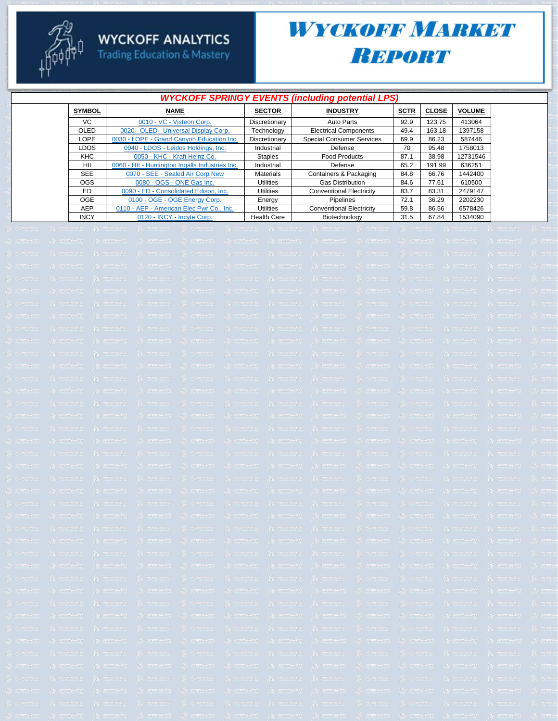

# **WYCKOFF ANALYTICS**<br>Trading Education & Mastery

### WYCKOFF MARKET Вировт

|               |                                                 |                    | <b>WYCKOFF SPRINGY EVENTS (including potential LPS)</b> |             |              |               |  |
|---------------|-------------------------------------------------|--------------------|---------------------------------------------------------|-------------|--------------|---------------|--|
| <b>SYMBOL</b> | <b>NAME</b>                                     | <b>SECTOR</b>      | <b>INDUSTRY</b>                                         | <b>SCTR</b> | <b>CLOSE</b> | <b>VOLUME</b> |  |
| VC.           | 0010 - VC - Visteon Corp.                       | Discretionary      | Auto Parts                                              | 92.9        | 123.75       | 413064        |  |
| <b>OLED</b>   | 0020 - OLED - Universal Display Corp.           | Technology         | <b>Electrical Components</b>                            | 49.4        | 163.18       | 1397158       |  |
| LOPE          | 0030 - LOPE - Grand Canyon Education Inc.       | Discretionary      | <b>Special Consumer Services</b>                        | 69.9        | 86.23        | 587446        |  |
| <b>LDOS</b>   | 0040 - LDOS - Leidos Holdings, Inc.             | Industrial         | Defense                                                 | 70          | 95.48        | 1758013       |  |
| <b>KHC</b>    | 0050 - KHC - Kraft Heinz Co.                    | <b>Staples</b>     | <b>Food Products</b>                                    | 87.1        | 38.98        | 12731546      |  |
| HII           | 0060 - HII - Huntington Ingalls Industries Inc. | Industrial         | Defense                                                 | 65.2        | 191.99       | 636251        |  |
| <b>SEE</b>    | 0070 - SEE - Sealed Air Corp New                | <b>Materials</b>   | Containers & Packaging                                  | 84.8        | 66.76        | 1442400       |  |
| <b>OGS</b>    | 0080 - OGS - ONE Gas Inc.                       | <b>Utilities</b>   | <b>Gas Distribution</b>                                 | 84.6        | 77.61        | 610500        |  |
| ED            | 0090 - ED - Consolidated Edison. Inc.           | <b>Utilities</b>   | <b>Conventional Electricity</b>                         | 83.7        | 83.31        | 2479147       |  |
| <b>OGE</b>    | 0100 - OGE - OGE Energy Corp.                   | Energy             | Pipelines                                               | 72.1        | 36.29        | 2202230       |  |
| AEP           | 0110 - AEP - American Elec Pwr Co., Inc.        | <b>Utilities</b>   | <b>Conventional Electricity</b>                         | 59.8        | 86.56        | 6578426       |  |
| <b>INCY</b>   | 0120 - INCY - Incyte Corp.                      | <b>Health Care</b> | Biotechnology                                           | 31.5        | 67.84        | 1534090       |  |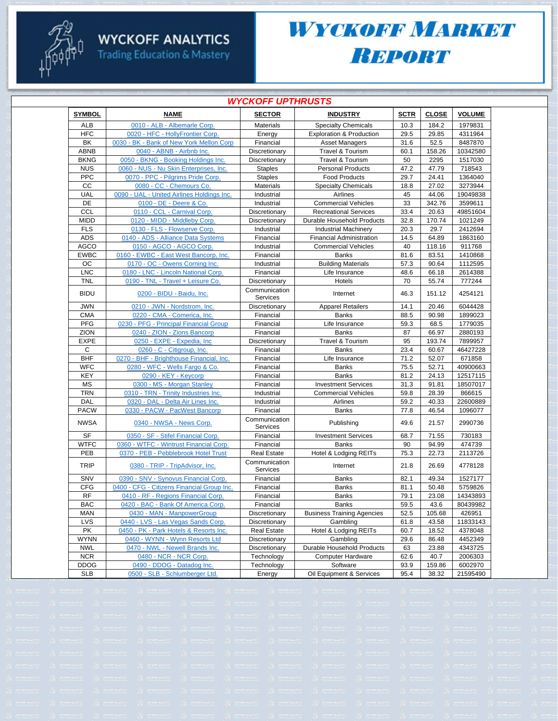

#### **WYCKOFF ANALYTICS**

**Trading Education & Mastery** 

### WYCKOFF MARKET **BEPORT**

|               | <b>WYCKOFF UPTHRUSTS</b>                   |                           |                                     |             |              |               |  |  |
|---------------|--------------------------------------------|---------------------------|-------------------------------------|-------------|--------------|---------------|--|--|
| <b>SYMBOL</b> | <b>NAME</b>                                | <b>SECTOR</b>             | <b>INDUSTRY</b>                     | <b>SCTR</b> | <b>CLOSE</b> | <b>VOLUME</b> |  |  |
| ALB           | 0010 - ALB - Albemarle Corp.               | <b>Materials</b>          | <b>Specialty Chemicals</b>          | 10.3        | 184.2        | 1979831       |  |  |
| <b>HFC</b>    | 0020 - HFC - HollyFrontier Corp.           | Energy                    | <b>Exploration &amp; Production</b> | 29.5        | 29.85        | 4311964       |  |  |
| BK            | 0030 - BK - Bank of New York Mellon Corp   | Financial                 | <b>Asset Managers</b>               | 31.6        | 52.5         | 8487870       |  |  |
| <b>ABNB</b>   | 0040 - ABNB - Airbnb Inc.                  | Discretionary             | Travel & Tourism                    | 60.1        | 158.26       | 10342580      |  |  |
| <b>BKNG</b>   | 0050 - BKNG - Booking Holdings Inc.        | Discretionary             | Travel & Tourism                    | 50          | 2295         | 1517030       |  |  |
| <b>NUS</b>    | 0060 - NUS - Nu Skin Enterprises, Inc.     | <b>Staples</b>            | <b>Personal Products</b>            | 47.2        | 47.79        | 718543        |  |  |
| <b>PPC</b>    | 0070 - PPC - Pilgrims Pride Corp.          | <b>Staples</b>            | <b>Food Products</b>                | 29.7        | 24.41        | 1364040       |  |  |
| CС            | 0080 - CC - Chemours Co.                   | <b>Materials</b>          | <b>Specialty Chemicals</b>          | 18.8        | 27.02        | 3273944       |  |  |
| <b>UAL</b>    | 0090 - UAL - United Airlines Holdings Inc. | Industrial                | Airlines                            | 45          | 44.06        | 19049838      |  |  |
| DE            | 0100 - DE - Deere & Co.                    | Industrial                | <b>Commercial Vehicles</b>          | 33          | 342.76       | 3599611       |  |  |
| <b>CCL</b>    | 0110 - CCL - Carnival Corp.                | Discretionary             | <b>Recreational Services</b>        | 33.4        | 20.63        | 49851604      |  |  |
| <b>MIDD</b>   | 0120 - MIDD - Middleby Corp.               | Discretionary             | Durable Household Products          | 32.8        | 170.74       | 1021249       |  |  |
| <b>FLS</b>    | 0130 - FLS - Flowserve Corp.               | Industrial                | <b>Industrial Machinery</b>         | 20.3        | 29.7         | 2412694       |  |  |
| <b>ADS</b>    | 0140 - ADS - Alliance Data Systems         | Financial                 | <b>Financial Administration</b>     | 14.5        | 64.89        | 1863160       |  |  |
| <b>AGCO</b>   | 0150 - AGCO - AGCO Corp.                   | Industrial                | <b>Commercial Vehicles</b>          | 40          | 118.16       | 911768        |  |  |
| <b>EWBC</b>   | 0160 - EWBC - East West Bancorp, Inc.      | Financial                 | <b>Banks</b>                        | 81.6        | 83.51        | 1410868       |  |  |
| OС            | 0170 - OC - Owens Corning Inc.             | Industrial                | <b>Building Materials</b>           | 57.3        | 90.64        | 1112595       |  |  |
| <b>LNC</b>    | 0180 - LNC - Lincoln National Corp.        | Financial                 | Life Insurance                      | 48.6        | 66.18        | 2614388       |  |  |
| TNL           | 0190 - TNL - Travel + Leisure Co.          | Discretionary             | Hotels                              | 70          | 55.74        | 777244        |  |  |
| <b>BIDU</b>   | 0200 - BIDU - Baidu, Inc.                  | Communication<br>Services | Internet                            | 46.3        | 151.12       | 4254121       |  |  |
| <b>JWN</b>    | 0210 - JWN - Nordstrom, Inc.               | Discretionary             | <b>Apparel Retailers</b>            | 14.1        | 20.46        | 6044428       |  |  |
| <b>CMA</b>    | 0220 - CMA - Comerica, Inc.                | Financial                 | <b>Banks</b>                        | 88.5        | 90.98        | 1899023       |  |  |
| <b>PFG</b>    | 0230 - PFG - Principal Financial Group     | Financial                 | Life Insurance                      | 59.3        | 68.5         | 1779035       |  |  |
| ZION          | 0240 - ZION - Zions Bancorp                | Financial                 | <b>Banks</b>                        | 87          | 66.97        | 2880193       |  |  |
| <b>EXPE</b>   | 0250 - EXPE - Expedia, Inc                 | Discretionary             | Travel & Tourism                    | 95          | 193.74       | 7899957       |  |  |
| C             | 0260 - C - Citigroup, Inc.                 | Financial                 | <b>Banks</b>                        | 23.4        | 60.67        | 46427228      |  |  |
| <b>BHF</b>    | 0270 - BHF - Brighthouse Financial, Inc.   | Financial                 | Life Insurance                      | 71.2        | 52.07        | 671858        |  |  |
| <b>WFC</b>    | 0280 - WFC - Wells Fargo & Co.             | Financial                 | <b>Banks</b>                        | 75.5        | 52.71        | 40900663      |  |  |
| <b>KEY</b>    | 0290 - KEY - Keycorp                       | Financial                 | <b>Banks</b>                        | 81.2        | 24.13        | 12517115      |  |  |
| <b>MS</b>     | 0300 - MS - Morgan Stanley                 | Financial                 | <b>Investment Services</b>          | 31.3        | 91.81        | 18507017      |  |  |
| <b>TRN</b>    | 0310 - TRN - Trinity Industries Inc.       | Industrial                | <b>Commercial Vehicles</b>          | 59.8        | 28.39        | 866615        |  |  |
| <b>DAL</b>    | 0320 - DAL - Delta Air Lines Inc.          | Industrial                | Airlines                            | 59.2        | 40.33        | 22600889      |  |  |
| <b>PACW</b>   | 0330 - PACW - PacWest Bancorp              | Financial                 | <b>Banks</b>                        | 77.8        | 46.54        | 1096077       |  |  |
|               |                                            | Communication             |                                     |             |              |               |  |  |
| <b>NWSA</b>   | 0340 - NWSA - News Corp.                   | Services                  | Publishing                          | 49.6        | 21.57        | 2990736       |  |  |
| <b>SF</b>     | 0350 - SF - Stifel Financial Corp.         | Financial                 | <b>Investment Services</b>          | 68.7        | 71.55        | 730183        |  |  |
| <b>WTFC</b>   | 0360 - WTFC - Wintrust Financial Corp.     | Financial                 | <b>Banks</b>                        | 90          | 94.99        | 474739        |  |  |
| PEB           | 0370 - PEB - Pebblebrook Hotel Trust       | <b>Real Estate</b>        | Hotel & Lodging REITs               | 75.3        | 22.73        | 2113726       |  |  |
| <b>TRIP</b>   | 0380 - TRIP - TripAdvisor, Inc.            | Communication<br>Services | Internet                            | 21.8        | 26.69        | 4778128       |  |  |
| SNV           | 0390 - SNV - Synovus Financial Corp.       | Financial                 | <b>Banks</b>                        | 82.1        | 49.34        | 1527177       |  |  |
| <b>CFG</b>    | 0400 - CFG - Citizens Financial Group Inc. | Financial                 | <b>Banks</b>                        | 81.1        | 50.48        | 5759826       |  |  |
| <b>RF</b>     | 0410 - RF - Regions Financial Corp.        | Financial                 | Banks                               | 79.1        | 23.08        | 14343893      |  |  |
| <b>BAC</b>    | 0420 - BAC - Bank Of America Corp.         | Financial                 | <b>Banks</b>                        | 59.5        | 43.6         | 80439982      |  |  |
| MAN           | 0430 - MAN - ManpowerGroup                 | Discretionary             | <b>Business Training Agencies</b>   | 52.5        | 105.68       | 426951        |  |  |
| <b>LVS</b>    | 0440 - LVS - Las Vegas Sands Corp.         | Discretionary             | Gambling                            | 61.8        | 43.58        | 11833143      |  |  |
| PK            | 0450 - PK - Park Hotels & Resorts Inc.     | <b>Real Estate</b>        | Hotel & Lodging REITs               | 60.7        | 18.52        | 4378048       |  |  |
| <b>WYNN</b>   | 0460 - WYNN - Wynn Resorts Ltd             | Discretionary             | Gambling                            | 29.6        | 86.48        | 4452349       |  |  |
| <b>NWL</b>    | 0470 - NWL - Newell Brands Inc.            | Discretionary             | Durable Household Products          | 63          | 23.88        | 4343725       |  |  |
| <b>NCR</b>    | 0480 - NCR - NCR Corp.                     | Technology                | Computer Hardware                   | 62.6        | 40.7         | 2006303       |  |  |
| <b>DDOG</b>   | 0490 - DDOG - Datadog Inc.                 | Technology                | Software                            | 93.9        | 159.86       | 6002970       |  |  |
| <b>SLB</b>    | 0500 - SLB - Schlumberger Ltd.             | Energy                    | Oil Equipment & Services            | 95.4        | 38.32        | 21595490      |  |  |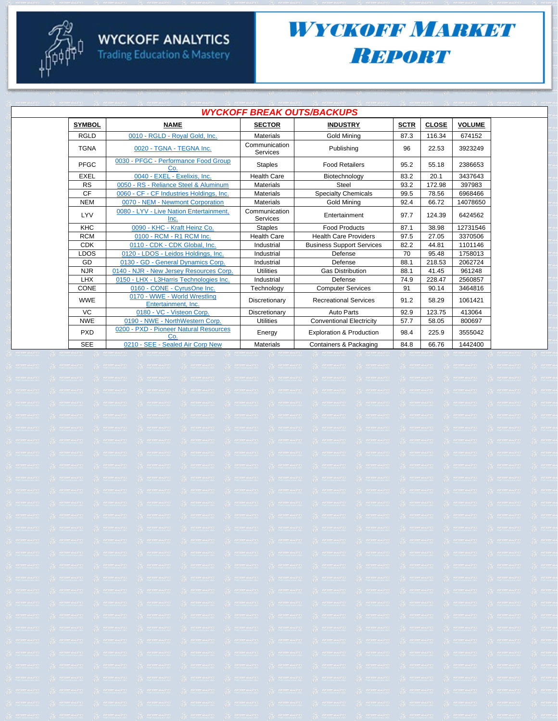### **WYCKOFF ANALYTICS Trading Education & Mastery**

### WYCKOFF MARKET **REPORT**

|               | <i><b>WYCKOFF BREAK OUTS/BACKUPS</b></i>            |                                  |                                  |             |              |               |  |
|---------------|-----------------------------------------------------|----------------------------------|----------------------------------|-------------|--------------|---------------|--|
| <b>SYMBOL</b> | <b>NAME</b>                                         | <b>SECTOR</b>                    | <b>INDUSTRY</b>                  | <b>SCTR</b> | <b>CLOSE</b> | <b>VOLUME</b> |  |
| <b>RGLD</b>   | 0010 - RGLD - Roval Gold. Inc.                      | <b>Materials</b>                 | <b>Gold Mining</b>               | 87.3        | 116.34       | 674152        |  |
| <b>TGNA</b>   | 0020 - TGNA - TEGNA Inc.                            | Communication<br><b>Services</b> | Publishing                       | 96          | 22.53        | 3923249       |  |
| PFGC          | 0030 - PFGC - Performance Food Group<br>Co          | <b>Staples</b>                   | <b>Food Retailers</b>            | 95.2        | 55.18        | 2386653       |  |
| <b>EXEL</b>   | 0040 - EXEL - Exelixis, Inc.                        | <b>Health Care</b>               | Biotechnology                    | 83.2        | 20.1         | 3437643       |  |
| <b>RS</b>     | 0050 - RS - Reliance Steel & Aluminum               | <b>Materials</b>                 | Steel                            | 93.2        | 172.98       | 397983        |  |
| <b>CF</b>     | 0060 - CF - CF Industries Holdings, Inc.            | <b>Materials</b>                 | <b>Specialty Chemicals</b>       | 99.5        | 78.56        | 6968466       |  |
| <b>NEM</b>    | 0070 - NEM - Newmont Corporation                    | <b>Materials</b>                 | Gold Mining                      | 92.4        | 66.72        | 14078650      |  |
| LYV           | 0080 - LYV - Live Nation Entertainment,<br>Inc.     | Communication<br><b>Services</b> | Entertainment                    | 97.7        | 124.39       | 6424562       |  |
| <b>KHC</b>    | 0090 - KHC - Kraft Heinz Co.                        | <b>Staples</b>                   | <b>Food Products</b>             | 87.1        | 38.98        | 12731546      |  |
| <b>RCM</b>    | 0100 - RCM - R1 RCM Inc.                            | <b>Health Care</b>               | <b>Health Care Providers</b>     | 97.5        | 27.05        | 3370506       |  |
| <b>CDK</b>    | 0110 - CDK - CDK Global, Inc.                       | Industrial                       | <b>Business Support Services</b> | 82.2        | 44.81        | 1101146       |  |
| <b>LDOS</b>   | 0120 - LDOS - Leidos Holdings, Inc.                 | Industrial                       | Defense                          | 70          | 95.48        | 1758013       |  |
| GD            | 0130 - GD - General Dynamics Corp.                  | Industrial                       | Defense                          | 88.1        | 218.53       | 2062724       |  |
| <b>NJR</b>    | 0140 - NJR - New Jersey Resources Corp.             | <b>Utilities</b>                 | <b>Gas Distribution</b>          | 88.1        | 41.45        | 961248        |  |
| LHX           | 0150 - LHX - L3Harris Technologies Inc.             | Industrial                       | Defense                          | 74.9        | 228.47       | 2560857       |  |
| <b>CONE</b>   | 0160 - CONE - CyrusOne Inc.                         | Technology                       | <b>Computer Services</b>         | 91          | 90.14        | 3464816       |  |
| <b>WWE</b>    | 0170 - WWE - World Wrestling<br>Entertainment, Inc. | Discretionary                    | <b>Recreational Services</b>     | 91.2        | 58.29        | 1061421       |  |
| VC            | 0180 - VC - Visteon Corp.                           | Discretionary                    | Auto Parts                       | 92.9        | 123.75       | 413064        |  |
| <b>NWE</b>    | 0190 - NWE - NorthWestern Corp.                     | <b>Utilities</b>                 | <b>Conventional Electricity</b>  | 57.7        | 58.05        | 800697        |  |
| <b>PXD</b>    | 0200 - PXD - Pioneer Natural Resources<br>Co        | Energy                           | Exploration & Production         | 98.4        | 225.9        | 3555042       |  |
| <b>SEE</b>    | 0210 - SEE - Sealed Air Corp New                    | <b>Materials</b>                 | Containers & Packaging           | 84.8        | 66.76        | 1442400       |  |

#### *WYCKOFF BREAK OUTS/BACKUPS*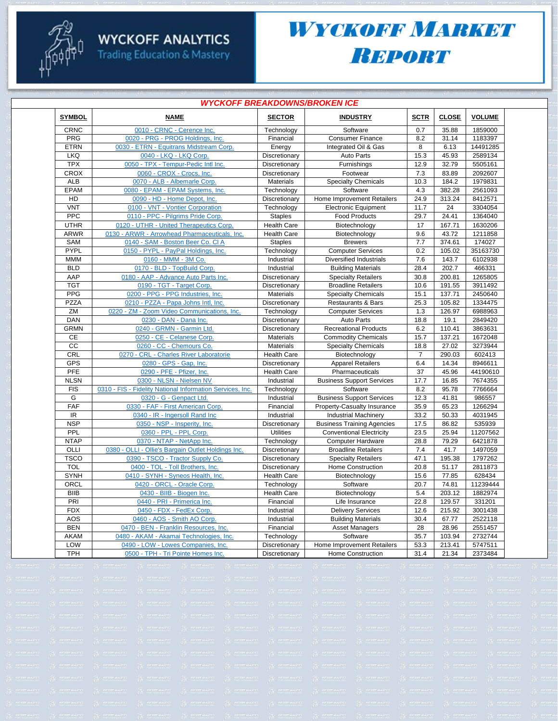#### **WYCKOFF ANALYTICS**

**Trading Education & Mastery** 

### WYCKOFF MARKET **Вировт**

|               | <i><b>WYCKOFF BREAKDOWNS/BROKEN ICE</b></i>               |                    |                                   |                |              |               |  |  |  |
|---------------|-----------------------------------------------------------|--------------------|-----------------------------------|----------------|--------------|---------------|--|--|--|
| <b>SYMBOL</b> | <b>NAME</b>                                               | <b>SECTOR</b>      | <b>INDUSTRY</b>                   | <b>SCTR</b>    | <b>CLOSE</b> | <b>VOLUME</b> |  |  |  |
| CRNC          | 0010 - CRNC - Cerence Inc.                                | Technology         | Software                          | 0.7            | 35.88        | 1859000       |  |  |  |
| PRG           | 0020 - PRG - PROG Holdings, Inc.                          | Financial          | <b>Consumer Finance</b>           | 8.2            | 31.14        | 1183397       |  |  |  |
| <b>ETRN</b>   | 0030 - ETRN - Equitrans Midstream Corp.                   | Energy             | Integrated Oil & Gas              | 8              | 6.13         | 14491285      |  |  |  |
| <b>LKQ</b>    | 0040 - LKQ - LKQ Corp.                                    | Discretionary      | <b>Auto Parts</b>                 | 15.3           | 45.93        | 2589134       |  |  |  |
| <b>TPX</b>    | 0050 - TPX - Tempur-Pedic Intl Inc.                       | Discretionary      | Furnishings                       | 12.9           | 32.79        | 5505161       |  |  |  |
| CROX          | 0060 - CROX - Crocs, Inc.                                 | Discretionary      | Footwear                          | 7.3            | 83.89        | 2092607       |  |  |  |
| <b>ALB</b>    | 0070 - ALB - Albemarle Corp.                              | <b>Materials</b>   | <b>Specialty Chemicals</b>        | 10.3           | 184.2        | 1979831       |  |  |  |
| <b>EPAM</b>   | 0080 - EPAM - EPAM Systems, Inc.                          | Technology         | Software                          | 4.3            | 382.28       | 2561093       |  |  |  |
| HD            | 0090 - HD - Home Depot, Inc.                              | Discretionary      | Home Improvement Retailers        | 24.9           | 313.24       | 8412571       |  |  |  |
| <b>VNT</b>    | 0100 - VNT - Vontier Corporation                          | Technology         | <b>Electronic Equipment</b>       | 11.7           | 24           | 3304054       |  |  |  |
| PPC           | 0110 - PPC - Pilgrims Pride Corp.                         | <b>Staples</b>     | <b>Food Products</b>              | 29.7           | 24.41        | 1364040       |  |  |  |
| <b>UTHR</b>   | 0120 - UTHR - United Therapeutics Corp.                   | <b>Health Care</b> | Biotechnology                     | 17             | 167.71       | 1630206       |  |  |  |
| <b>ARWR</b>   | 0130 - ARWR - Arrowhead Pharmaceuticals, Inc.             | <b>Health Care</b> | Biotechnology                     | 9.6            | 43.72        | 1211858       |  |  |  |
| SAM           | 0140 - SAM - Boston Beer Co. CI A                         | <b>Staples</b>     | <b>Brewers</b>                    | 7.7            | 374.61       | 174027        |  |  |  |
| PYPL          | 0150 - PYPL - PayPal Holdings, Inc.                       | Technology         | <b>Computer Services</b>          | 0.2            | 105.02       | 35163730      |  |  |  |
| <b>MMM</b>    | 0160 - MMM - 3M Co.                                       | Industrial         | Diversified Industrials           | 7.6            | 143.7        | 6102938       |  |  |  |
| <b>BLD</b>    | 0170 - BLD - TopBuild Corp.                               | Industrial         | <b>Building Materials</b>         | 28.4           | 202.7        | 466331        |  |  |  |
| AAP           | 0180 - AAP - Advance Auto Parts Inc.                      | Discretionary      | <b>Specialty Retailers</b>        | 30.8           | 200.81       | 1265805       |  |  |  |
| <b>TGT</b>    | 0190 - TGT - Target Corp                                  | Discretionary      | <b>Broadline Retailers</b>        | 10.6           | 191.55       | 3911492       |  |  |  |
| PPG           | 0200 - PPG - PPG Industries, Inc.                         | <b>Materials</b>   | <b>Specialty Chemicals</b>        | 15.1           | 137.71       | 2450640       |  |  |  |
| <b>PZZA</b>   | 0210 - PZZA - Papa Johns Intl, Inc.                       | Discretionary      | <b>Restaurants &amp; Bars</b>     | 25.3           | 105.82       | 1334475       |  |  |  |
| ZM            | 0220 - ZM - Zoom Video Communications, Inc.               | Technology         | <b>Computer Services</b>          | 1.3            | 126.97       | 6988963       |  |  |  |
| DAN           | 0230 - DAN - Dana Inc.                                    | Discretionary      | <b>Auto Parts</b>                 | 18.8           | 19.1         | 2849420       |  |  |  |
| <b>GRMN</b>   | 0240 - GRMN - Garmin Ltd                                  | Discretionary      | <b>Recreational Products</b>      | 6.2            | 110.41       | 3863631       |  |  |  |
| CE            | 0250 - CE - Celanese Corp.                                | Materials          | <b>Commodity Chemicals</b>        | 15.7           | 137.21       | 1672048       |  |  |  |
| cc            | 0260 - CC - Chemours Co.                                  | Materials          | <b>Specialty Chemicals</b>        | 18.8           | 27.02        | 3273944       |  |  |  |
| <b>CRL</b>    | 0270 - CRL - Charles River Laboratorie                    | <b>Health Care</b> | Biotechnology                     | $\overline{7}$ | 290.03       | 602413        |  |  |  |
| <b>GPS</b>    | 0280 - GPS - Gap, Inc.                                    | Discretionary      | <b>Apparel Retailers</b>          | 6.4            | 14.34        | 8946611       |  |  |  |
| PFE           | 0290 - PFE - Pfizer, Inc.                                 | <b>Health Care</b> | Pharmaceuticals                   | 37             | 45.96        | 44190610      |  |  |  |
| <b>NLSN</b>   | 0300 - NLSN - Nielsen NV                                  | Industrial         | <b>Business Support Services</b>  | 17.7           | 16.85        | 7674355       |  |  |  |
| <b>FIS</b>    | 0310 - FIS - Fidelity National Information Services, Inc. | Technology         | Software                          | 8.2            | 95.78        | 7766664       |  |  |  |
| G             | 0320 - G - Genpact Ltd                                    | Industrial         | <b>Business Support Services</b>  | 12.3           | 41.81        | 986557        |  |  |  |
| FAF           | 0330 - FAF - First American Corp.                         | Financial          | Property-Casualty Insurance       | 35.9           | 65.23        | 1266294       |  |  |  |
| IR            | 0340 - IR - Ingersoll Rand Inc                            | Industrial         | <b>Industrial Machinery</b>       | 33.2           | 50.33        | 4031945       |  |  |  |
| <b>NSP</b>    | 0350 - NSP - Insperity, Inc.                              | Discretionary      | <b>Business Training Agencies</b> | 17.5           | 86.82        | 535939        |  |  |  |
| PPL           | 0360 - PPL - PPL Corp.                                    | <b>Utilities</b>   | <b>Conventional Electricity</b>   | 23.5           | 25.94        | 11207562      |  |  |  |
| <b>NTAP</b>   | 0370 - NTAP - NetApp Inc.                                 | Technology         | Computer Hardware                 | 28.8           | 79.29        | 6421878       |  |  |  |
| OLLI          | 0380 - OLLI - Ollie's Bargain Outlet Holdings Inc.        | Discretionary      | <b>Broadline Retailers</b>        | 7.4            | 41.7         | 1497059       |  |  |  |
| <b>TSCO</b>   | 0390 - TSCO - Tractor Supply Co.                          | Discretionary      | <b>Specialty Retailers</b>        | 47.1           | 195.38       | 1797262       |  |  |  |
| <b>TOL</b>    | 0400 - TOL - Toll Brothers, Inc.                          | Discretionary      | Home Construction                 | 20.8           | 51.17        | 2811873       |  |  |  |
| <b>SYNH</b>   | 0410 - SYNH - Syneos Health, Inc.                         | <b>Health Care</b> | Biotechnology                     | 15.6           | 77.85        | 628434        |  |  |  |
| ORCL          | 0420 - ORCL - Oracle Corp.                                | Technology         | Software                          | 20.7           | 74.81        | 11239444      |  |  |  |
| <b>BIIB</b>   | 0430 - BIIB - Biogen Inc.                                 | <b>Health Care</b> | Biotechnology                     | 5.4            | 203.12       | 1882974       |  |  |  |
| PRI           | 0440 - PRI - Primerica Inc.                               | Financial          | Life Insurance                    | 22.8           | 129.57       | 331201        |  |  |  |
| <b>FDX</b>    | 0450 - FDX - FedEx Corp.                                  | Industrial         | <b>Delivery Services</b>          | 12.6           | 215.92       | 3001438       |  |  |  |
| AOS           | 0460 - AOS - Smith AO Corp.                               | Industrial         | <b>Building Materials</b>         | 30.4           | 67.77        | 2522118       |  |  |  |
| <b>BEN</b>    | 0470 - BEN - Franklin Resources, Inc.                     | Financial          |                                   |                | 28.96        | 2551457       |  |  |  |
|               |                                                           |                    | <b>Asset Managers</b>             | 28             |              | 2732744       |  |  |  |
| <b>AKAM</b>   | 0480 - AKAM - Akamai Technologies, Inc.                   | Technology         | Software                          | 35.7           | 103.94       |               |  |  |  |
| LOW           | 0490 - LOW - Lowes Companies, Inc                         | Discretionary      | Home Improvement Retailers        | 53.3           | 213.41       | 5747511       |  |  |  |
| <b>TPH</b>    | 0500 - TPH - Tri Pointe Homes Inc.                        | Discretionary      | <b>Home Construction</b>          | 31.4           | 21.34        | 2373484       |  |  |  |